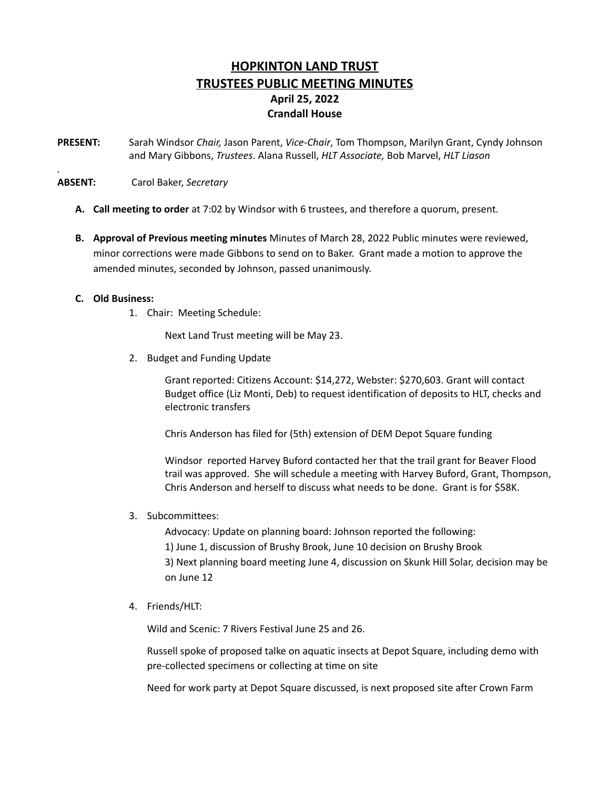# **HOPKINTON LAND TRUST TRUSTEES PUBLIC MEETING MINUTES April 25, 2022 Crandall House**

**PRESENT:** Sarah Windsor *Chair,* Jason Parent, *Vice-Chair*, Tom Thompson, Marilyn Grant, Cyndy Johnson and Mary Gibbons, *Trustees*. Alana Russell, *HLT Associate,* Bob Marvel, *HLT Liason*

### **ABSENT:** Carol Baker, *Secretary*

- **A. Call meeting to order** at 7:02 by Windsor with 6 trustees, and therefore a quorum, present.
- **B. Approval of Previous meeting minutes** Minutes of March 28, 2022 Public minutes were reviewed, minor corrections were made Gibbons to send on to Baker. Grant made a motion to approve the amended minutes, seconded by Johnson, passed unanimously.

### **C. Old Business:**

*.*

1. Chair: Meeting Schedule:

Next Land Trust meeting will be May 23.

2. Budget and Funding Update

Grant reported: Citizens Account: \$14,272, Webster: \$270,603. Grant will contact Budget office (Liz Monti, Deb) to request identification of deposits to HLT, checks and electronic transfers

Chris Anderson has filed for (5th) extension of DEM Depot Square funding

Windsor reported Harvey Buford contacted her that the trail grant for Beaver Flood trail was approved. She will schedule a meeting with Harvey Buford, Grant, Thompson, Chris Anderson and herself to discuss what needs to be done. Grant is for \$58K.

3. Subcommittees:

Advocacy: Update on planning board: Johnson reported the following: 1) June 1, discussion of Brushy Brook, June 10 decision on Brushy Brook 3) Next planning board meeting June 4, discussion on Skunk Hill Solar, decision may be on June 12

4. Friends/HLT:

Wild and Scenic: 7 Rivers Festival June 25 and 26.

Russell spoke of proposed talke on aquatic insects at Depot Square, including demo with pre-collected specimens or collecting at time on site

Need for work party at Depot Square discussed, is next proposed site after Crown Farm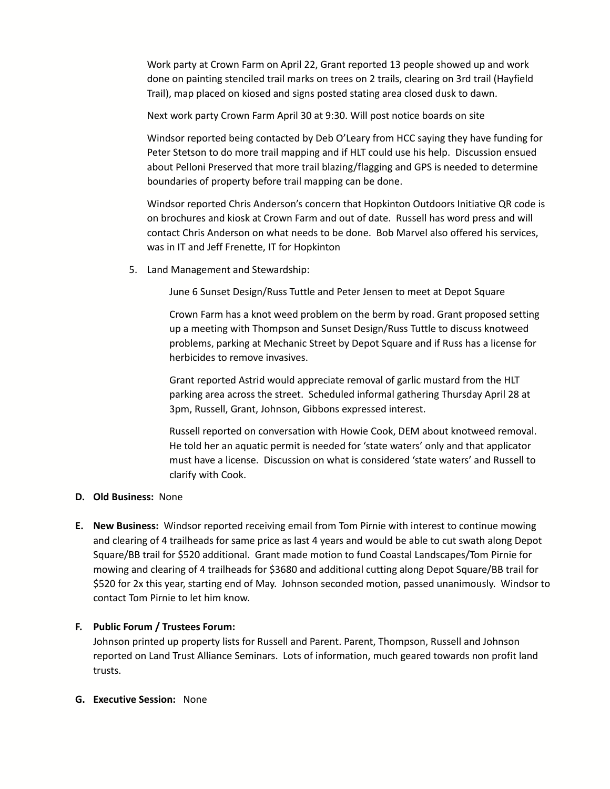Work party at Crown Farm on April 22, Grant reported 13 people showed up and work done on painting stenciled trail marks on trees on 2 trails, clearing on 3rd trail (Hayfield Trail), map placed on kiosed and signs posted stating area closed dusk to dawn.

Next work party Crown Farm April 30 at 9:30. Will post notice boards on site

Windsor reported being contacted by Deb O'Leary from HCC saying they have funding for Peter Stetson to do more trail mapping and if HLT could use his help. Discussion ensued about Pelloni Preserved that more trail blazing/flagging and GPS is needed to determine boundaries of property before trail mapping can be done.

Windsor reported Chris Anderson's concern that Hopkinton Outdoors Initiative QR code is on brochures and kiosk at Crown Farm and out of date. Russell has word press and will contact Chris Anderson on what needs to be done. Bob Marvel also offered his services, was in IT and Jeff Frenette, IT for Hopkinton

5. Land Management and Stewardship:

June 6 Sunset Design/Russ Tuttle and Peter Jensen to meet at Depot Square

Crown Farm has a knot weed problem on the berm by road. Grant proposed setting up a meeting with Thompson and Sunset Design/Russ Tuttle to discuss knotweed problems, parking at Mechanic Street by Depot Square and if Russ has a license for herbicides to remove invasives.

Grant reported Astrid would appreciate removal of garlic mustard from the HLT parking area across the street. Scheduled informal gathering Thursday April 28 at 3pm, Russell, Grant, Johnson, Gibbons expressed interest.

Russell reported on conversation with Howie Cook, DEM about knotweed removal. He told her an aquatic permit is needed for 'state waters' only and that applicator must have a license. Discussion on what is considered 'state waters' and Russell to clarify with Cook.

# **D. Old Business:** None

**E. New Business:** Windsor reported receiving email from Tom Pirnie with interest to continue mowing and clearing of 4 trailheads for same price as last 4 years and would be able to cut swath along Depot Square/BB trail for \$520 additional. Grant made motion to fund Coastal Landscapes/Tom Pirnie for mowing and clearing of 4 trailheads for \$3680 and additional cutting along Depot Square/BB trail for \$520 for 2x this year, starting end of May. Johnson seconded motion, passed unanimously. Windsor to contact Tom Pirnie to let him know.

# **F. Public Forum / Trustees Forum:**

Johnson printed up property lists for Russell and Parent. Parent, Thompson, Russell and Johnson reported on Land Trust Alliance Seminars. Lots of information, much geared towards non profit land trusts.

#### **G. Executive Session:** None